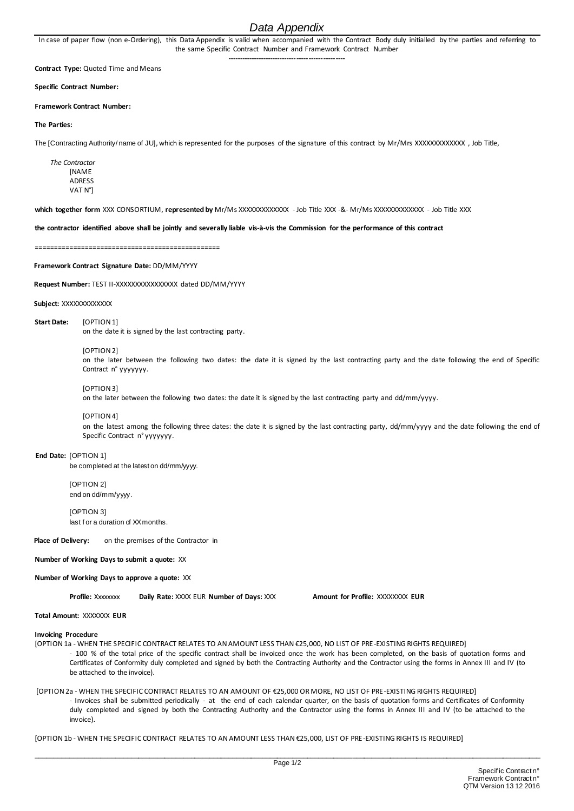# *Data Appendix*

In case of paper flow (non e-Ordering), this Data Appendix is valid when accompanied with the Contract Body duly initialled by the parties and referring to the same Specific Contract Number and Framework Contract Number **-------------------------------------------------**

**Contract Type:** Quoted Time and Means

**Specific Contract Number:**

**Framework Contract Number:**

#### **The Parties:**

The [Contracting Authority/ name of JU], which is represented for the purposes of the signature of this contract by Mr/Mrs XXXXXXXXXXXXX , Job Title,

*The Contractor* **[NAME** ADRESS VAT N°]

**which together form** XXX CONSORTIUM, **represented by** Mr/Ms XXXXXXXXXXXXX - Job Title XXX -&- Mr/Ms XXXXXXXXXXXXX - Job Title XXX

**the contractor identified above shall be jointly and severally liable vis-à-vis the Commission for the performance of this contract**

================================================

**Framework Contract Signature Date:** DD/MM/YYYY

**Request Number:** TEST II-XXXXXXXXXXXXXXXX dated DD/MM/YYYY

**Subject:** XXXXXXXXXXXXX

**Start Date:** [OPTION 1] on the date it is signed by the last contracting party.

[OPTION 2]

on the later between the following two dates: the date it is signed by the last contracting party and the date following the end of Specific Contract n° yyyyyyy.

[OPTION 3]

on the later between the following two dates: the date it is signed by the last contracting party and dd/mm/yyyy.

[OPTION 4]

on the latest among the following three dates: the date it is signed by the last contracting party, dd/mm/yyyy and the date following the end of Specific Contract n° yyyyyyy.

**End Date:** [OPTION 1]

be completed at the latest on dd/mm/yyyy.

[OPTION 2] end on dd/mm/yyyy.

**[OPTION 3]** last f or a duration of XX months.

**Place of Delivery:** on the premises of the Contractor in

**Number of Working Days to submit a quote:** XX

#### **Number of Working Days to approve a quote:** XX

**Profile:** Xxxxxxxx **Daily Rate:** XXXX EUR **Number of Days:** XXX **Amount for Profile:** XXXXXXXX **EUR**

### **Total Amount:** XXXXXXX **EUR**

#### **Invoicing Procedure**

- [OPTION 1a WHEN THE SPECIFIC CONTRACT RELATES TO AN AMOUNT LESS THAN €25,000, NO LIST OF PRE-EXISTING RIGHTS REQUIRED] - 100 % of the total price of the specific contract shall be invoiced once the work has been completed, on the basis of quotation forms and Certificates of Conformity duly completed and signed by both the Contracting Authority and the Contractor using the forms in Annex III and IV (to be attached to the invoice).
- [OPTION 2a WHEN THE SPECIFIC CONTRACT RELATES TO AN AMOUNT OF €25,000 OR MORE, NO LIST OF PRE-EXISTING RIGHTS REQUIRED] - Invoices shall be submitted periodically - at the end of each calendar quarter, on the basis of quotation forms and Certificates of Conformity duly completed and signed by both the Contracting Authority and the Contractor using the forms in Annex III and IV (to be attached to the invoice).

[OPTION 1b - WHEN THE SPECIFIC CONTRACT RELATES TO AN AMOUNT LESS THAN €25,000, LIST OF PRE-EXISTING RIGHTS IS REQUIRED]